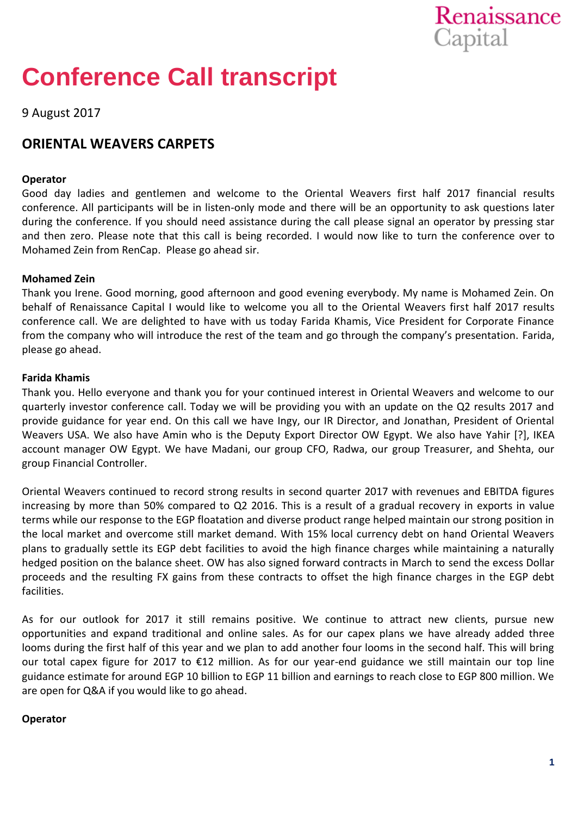

# **Conference Call transcript**

9 August 2017

## **ORIENTAL WEAVERS CARPETS**

## **Operator**

Good day ladies and gentlemen and welcome to the Oriental Weavers first half 2017 financial results conference. All participants will be in listen-only mode and there will be an opportunity to ask questions later during the conference. If you should need assistance during the call please signal an operator by pressing star and then zero. Please note that this call is being recorded. I would now like to turn the conference over to Mohamed Zein from RenCap. Please go ahead sir.

## **Mohamed Zein**

Thank you Irene. Good morning, good afternoon and good evening everybody. My name is Mohamed Zein. On behalf of Renaissance Capital I would like to welcome you all to the Oriental Weavers first half 2017 results conference call. We are delighted to have with us today Farida Khamis, Vice President for Corporate Finance from the company who will introduce the rest of the team and go through the company's presentation. Farida, please go ahead.

## **Farida Khamis**

Thank you. Hello everyone and thank you for your continued interest in Oriental Weavers and welcome to our quarterly investor conference call. Today we will be providing you with an update on the Q2 results 2017 and provide guidance for year end. On this call we have Ingy, our IR Director, and Jonathan, President of Oriental Weavers USA. We also have Amin who is the Deputy Export Director OW Egypt. We also have Yahir [?], IKEA account manager OW Egypt. We have Madani, our group CFO, Radwa, our group Treasurer, and Shehta, our group Financial Controller.

Oriental Weavers continued to record strong results in second quarter 2017 with revenues and EBITDA figures increasing by more than 50% compared to Q2 2016. This is a result of a gradual recovery in exports in value terms while our response to the EGP floatation and diverse product range helped maintain our strong position in the local market and overcome still market demand. With 15% local currency debt on hand Oriental Weavers plans to gradually settle its EGP debt facilities to avoid the high finance charges while maintaining a naturally hedged position on the balance sheet. OW has also signed forward contracts in March to send the excess Dollar proceeds and the resulting FX gains from these contracts to offset the high finance charges in the EGP debt facilities.

As for our outlook for 2017 it still remains positive. We continue to attract new clients, pursue new opportunities and expand traditional and online sales. As for our capex plans we have already added three looms during the first half of this year and we plan to add another four looms in the second half. This will bring our total capex figure for 2017 to €12 million. As for our year-end guidance we still maintain our top line guidance estimate for around EGP 10 billion to EGP 11 billion and earnings to reach close to EGP 800 million. We are open for Q&A if you would like to go ahead.

## **Operator**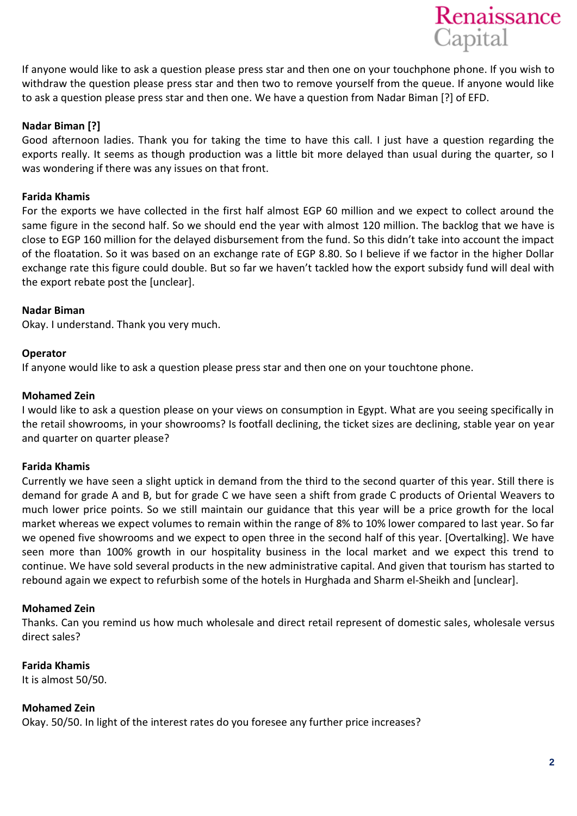

If anyone would like to ask a question please press star and then one on your touchphone phone. If you wish to withdraw the question please press star and then two to remove yourself from the queue. If anyone would like to ask a question please press star and then one. We have a question from Nadar Biman [?] of EFD.

## **Nadar Biman [?]**

Good afternoon ladies. Thank you for taking the time to have this call. I just have a question regarding the exports really. It seems as though production was a little bit more delayed than usual during the quarter, so I was wondering if there was any issues on that front.

## **Farida Khamis**

For the exports we have collected in the first half almost EGP 60 million and we expect to collect around the same figure in the second half. So we should end the year with almost 120 million. The backlog that we have is close to EGP 160 million for the delayed disbursement from the fund. So this didn't take into account the impact of the floatation. So it was based on an exchange rate of EGP 8.80. So I believe if we factor in the higher Dollar exchange rate this figure could double. But so far we haven't tackled how the export subsidy fund will deal with the export rebate post the [unclear].

## **Nadar Biman**

Okay. I understand. Thank you very much.

## **Operator**

If anyone would like to ask a question please press star and then one on your touchtone phone.

## **Mohamed Zein**

I would like to ask a question please on your views on consumption in Egypt. What are you seeing specifically in the retail showrooms, in your showrooms? Is footfall declining, the ticket sizes are declining, stable year on year and quarter on quarter please?

## **Farida Khamis**

Currently we have seen a slight uptick in demand from the third to the second quarter of this year. Still there is demand for grade A and B, but for grade C we have seen a shift from grade C products of Oriental Weavers to much lower price points. So we still maintain our guidance that this year will be a price growth for the local market whereas we expect volumes to remain within the range of 8% to 10% lower compared to last year. So far we opened five showrooms and we expect to open three in the second half of this year. [Overtalking]. We have seen more than 100% growth in our hospitality business in the local market and we expect this trend to continue. We have sold several products in the new administrative capital. And given that tourism has started to rebound again we expect to refurbish some of the hotels in Hurghada and Sharm el-Sheikh and [unclear].

## **Mohamed Zein**

Thanks. Can you remind us how much wholesale and direct retail represent of domestic sales, wholesale versus direct sales?

## **Farida Khamis**

It is almost 50/50.

## **Mohamed Zein**

Okay. 50/50. In light of the interest rates do you foresee any further price increases?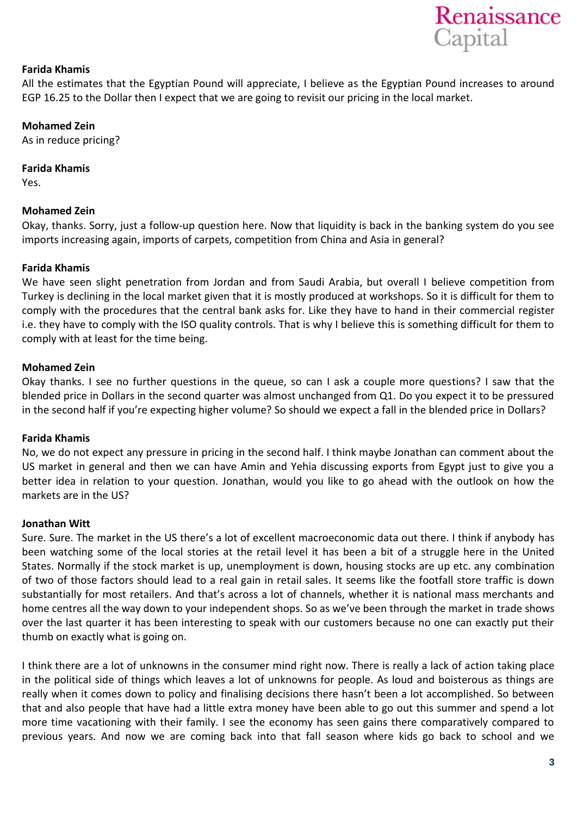

## **Farida Khamis**

All the estimates that the Egyptian Pound will appreciate, I believe as the Egyptian Pound increases to around EGP 16.25 to the Dollar then I expect that we are going to revisit our pricing in the local market.

## **Mohamed Zein**

As in reduce pricing?

## **Farida Khamis**

Yes.

## **Mohamed Zein**

Okay, thanks. Sorry, just a follow-up question here. Now that liquidity is back in the banking system do you see imports increasing again, imports of carpets, competition from China and Asia in general?

## **Farida Khamis**

We have seen slight penetration from Jordan and from Saudi Arabia, but overall I believe competition from Turkey is declining in the local market given that it is mostly produced at workshops. So it is difficult for them to comply with the procedures that the central bank asks for. Like they have to hand in their commercial register i.e. they have to comply with the ISO quality controls. That is why I believe this is something difficult for them to comply with at least for the time being.

## **Mohamed Zein**

Okay thanks. I see no further questions in the queue, so can I ask a couple more questions? I saw that the blended price in Dollars in the second quarter was almost unchanged from Q1. Do you expect it to be pressured in the second half if you're expecting higher volume? So should we expect a fall in the blended price in Dollars?

## **Farida Khamis**

No, we do not expect any pressure in pricing in the second half. I think maybe Jonathan can comment about the US market in general and then we can have Amin and Yehia discussing exports from Egypt just to give you a better idea in relation to your question. Jonathan, would you like to go ahead with the outlook on how the markets are in the US?

## **Jonathan Witt**

Sure. Sure. The market in the US there's a lot of excellent macroeconomic data out there. I think if anybody has been watching some of the local stories at the retail level it has been a bit of a struggle here in the United States. Normally if the stock market is up, unemployment is down, housing stocks are up etc. any combination of two of those factors should lead to a real gain in retail sales. It seems like the footfall store traffic is down substantially for most retailers. And that's across a lot of channels, whether it is national mass merchants and home centres all the way down to your independent shops. So as we've been through the market in trade shows over the last quarter it has been interesting to speak with our customers because no one can exactly put their thumb on exactly what is going on.

I think there are a lot of unknowns in the consumer mind right now. There is really a lack of action taking place in the political side of things which leaves a lot of unknowns for people. As loud and boisterous as things are really when it comes down to policy and finalising decisions there hasn't been a lot accomplished. So between that and also people that have had a little extra money have been able to go out this summer and spend a lot more time vacationing with their family. I see the economy has seen gains there comparatively compared to previous years. And now we are coming back into that fall season where kids go back to school and we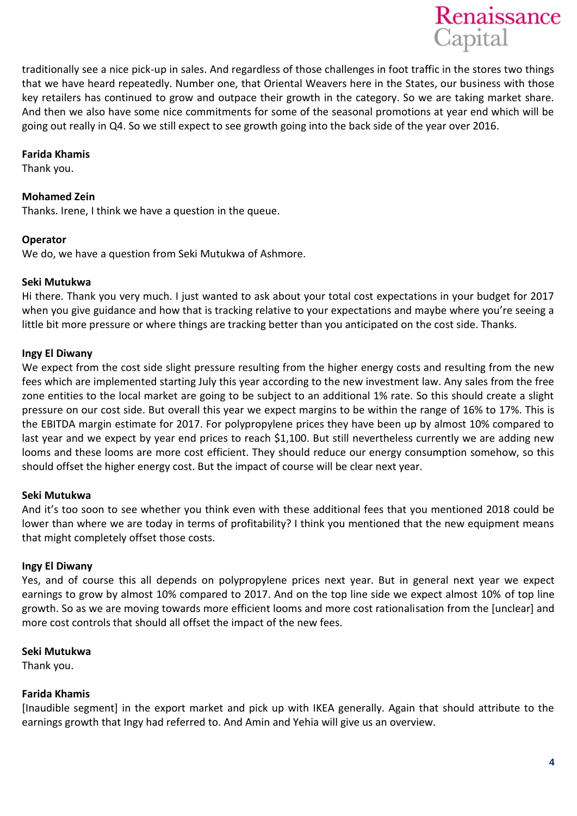

traditionally see a nice pick-up in sales. And regardless of those challenges in foot traffic in the stores two things that we have heard repeatedly. Number one, that Oriental Weavers here in the States, our business with those key retailers has continued to grow and outpace their growth in the category. So we are taking market share. And then we also have some nice commitments for some of the seasonal promotions at year end which will be going out really in Q4. So we still expect to see growth going into the back side of the year over 2016.

## **Farida Khamis**

Thank you.

## **Mohamed Zein**

Thanks. Irene, I think we have a question in the queue.

## **Operator**

We do, we have a question from Seki Mutukwa of Ashmore.

#### **Seki Mutukwa**

Hi there. Thank you very much. I just wanted to ask about your total cost expectations in your budget for 2017 when you give guidance and how that is tracking relative to your expectations and maybe where you're seeing a little bit more pressure or where things are tracking better than you anticipated on the cost side. Thanks.

## **Ingy El Diwany**

We expect from the cost side slight pressure resulting from the higher energy costs and resulting from the new fees which are implemented starting July this year according to the new investment law. Any sales from the free zone entities to the local market are going to be subject to an additional 1% rate. So this should create a slight pressure on our cost side. But overall this year we expect margins to be within the range of 16% to 17%. This is the EBITDA margin estimate for 2017. For polypropylene prices they have been up by almost 10% compared to last year and we expect by year end prices to reach \$1,100. But still nevertheless currently we are adding new looms and these looms are more cost efficient. They should reduce our energy consumption somehow, so this should offset the higher energy cost. But the impact of course will be clear next year.

## **Seki Mutukwa**

And it's too soon to see whether you think even with these additional fees that you mentioned 2018 could be lower than where we are today in terms of profitability? I think you mentioned that the new equipment means that might completely offset those costs.

## **Ingy El Diwany**

Yes, and of course this all depends on polypropylene prices next year. But in general next year we expect earnings to grow by almost 10% compared to 2017. And on the top line side we expect almost 10% of top line growth. So as we are moving towards more efficient looms and more cost rationalisation from the [unclear] and more cost controls that should all offset the impact of the new fees.

## **Seki Mutukwa**

Thank you.

## **Farida Khamis**

[Inaudible segment] in the export market and pick up with IKEA generally. Again that should attribute to the earnings growth that Ingy had referred to. And Amin and Yehia will give us an overview.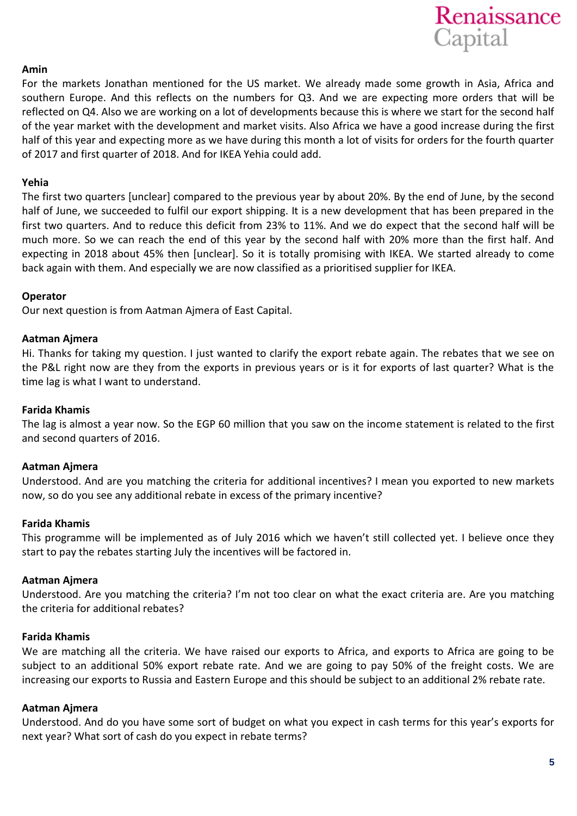

## **Amin**

For the markets Jonathan mentioned for the US market. We already made some growth in Asia, Africa and southern Europe. And this reflects on the numbers for Q3. And we are expecting more orders that will be reflected on Q4. Also we are working on a lot of developments because this is where we start for the second half of the year market with the development and market visits. Also Africa we have a good increase during the first half of this year and expecting more as we have during this month a lot of visits for orders for the fourth quarter of 2017 and first quarter of 2018. And for IKEA Yehia could add.

#### **Yehia**

The first two quarters [unclear] compared to the previous year by about 20%. By the end of June, by the second half of June, we succeeded to fulfil our export shipping. It is a new development that has been prepared in the first two quarters. And to reduce this deficit from 23% to 11%. And we do expect that the second half will be much more. So we can reach the end of this year by the second half with 20% more than the first half. And expecting in 2018 about 45% then [unclear]. So it is totally promising with IKEA. We started already to come back again with them. And especially we are now classified as a prioritised supplier for IKEA.

## **Operator**

Our next question is from Aatman Ajmera of East Capital.

#### **Aatman Ajmera**

Hi. Thanks for taking my question. I just wanted to clarify the export rebate again. The rebates that we see on the P&L right now are they from the exports in previous years or is it for exports of last quarter? What is the time lag is what I want to understand.

## **Farida Khamis**

The lag is almost a year now. So the EGP 60 million that you saw on the income statement is related to the first and second quarters of 2016.

#### **Aatman Ajmera**

Understood. And are you matching the criteria for additional incentives? I mean you exported to new markets now, so do you see any additional rebate in excess of the primary incentive?

#### **Farida Khamis**

This programme will be implemented as of July 2016 which we haven't still collected yet. I believe once they start to pay the rebates starting July the incentives will be factored in.

#### **Aatman Ajmera**

Understood. Are you matching the criteria? I'm not too clear on what the exact criteria are. Are you matching the criteria for additional rebates?

#### **Farida Khamis**

We are matching all the criteria. We have raised our exports to Africa, and exports to Africa are going to be subject to an additional 50% export rebate rate. And we are going to pay 50% of the freight costs. We are increasing our exports to Russia and Eastern Europe and this should be subject to an additional 2% rebate rate.

#### **Aatman Ajmera**

Understood. And do you have some sort of budget on what you expect in cash terms for this year's exports for next year? What sort of cash do you expect in rebate terms?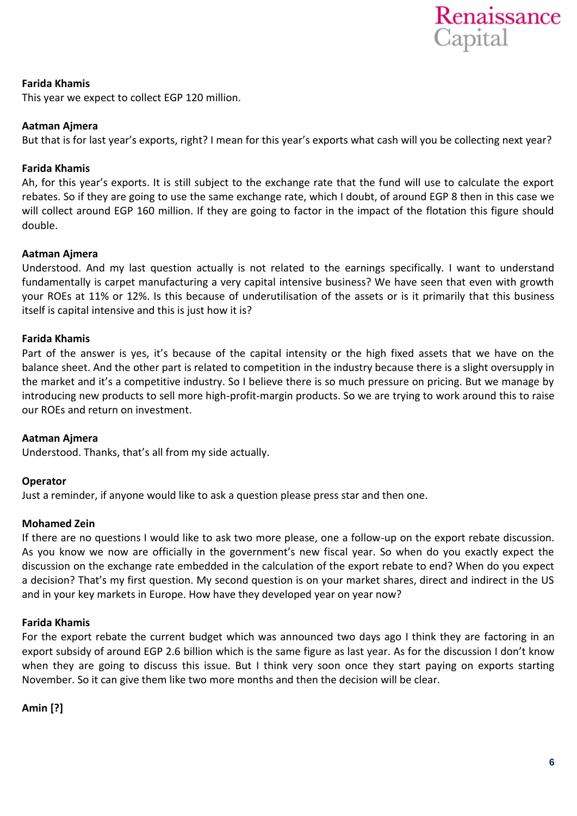

## **Farida Khamis**

This year we expect to collect EGP 120 million.

## **Aatman Ajmera**

But that is for last year's exports, right? I mean for this year's exports what cash will you be collecting next year?

## **Farida Khamis**

Ah, for this year's exports. It is still subject to the exchange rate that the fund will use to calculate the export rebates. So if they are going to use the same exchange rate, which I doubt, of around EGP 8 then in this case we will collect around EGP 160 million. If they are going to factor in the impact of the flotation this figure should double.

## **Aatman Ajmera**

Understood. And my last question actually is not related to the earnings specifically. I want to understand fundamentally is carpet manufacturing a very capital intensive business? We have seen that even with growth your ROEs at 11% or 12%. Is this because of underutilisation of the assets or is it primarily that this business itself is capital intensive and this is just how it is?

## **Farida Khamis**

Part of the answer is yes, it's because of the capital intensity or the high fixed assets that we have on the balance sheet. And the other part is related to competition in the industry because there is a slight oversupply in the market and it's a competitive industry. So I believe there is so much pressure on pricing. But we manage by introducing new products to sell more high-profit-margin products. So we are trying to work around this to raise our ROEs and return on investment.

## **Aatman Ajmera**

Understood. Thanks, that's all from my side actually.

## **Operator**

Just a reminder, if anyone would like to ask a question please press star and then one.

## **Mohamed Zein**

If there are no questions I would like to ask two more please, one a follow-up on the export rebate discussion. As you know we now are officially in the government's new fiscal year. So when do you exactly expect the discussion on the exchange rate embedded in the calculation of the export rebate to end? When do you expect a decision? That's my first question. My second question is on your market shares, direct and indirect in the US and in your key markets in Europe. How have they developed year on year now?

## **Farida Khamis**

For the export rebate the current budget which was announced two days ago I think they are factoring in an export subsidy of around EGP 2.6 billion which is the same figure as last year. As for the discussion I don't know when they are going to discuss this issue. But I think very soon once they start paying on exports starting November. So it can give them like two more months and then the decision will be clear.

**Amin [?]**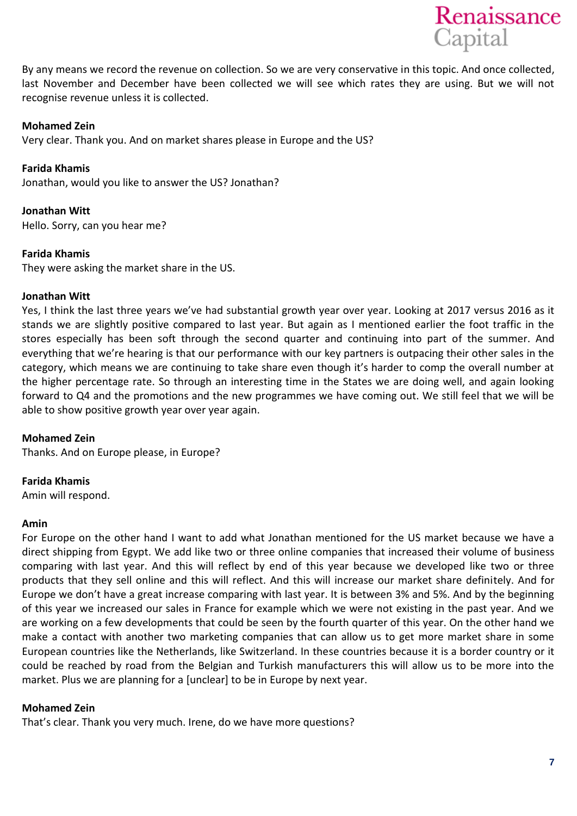

By any means we record the revenue on collection. So we are very conservative in this topic. And once collected, last November and December have been collected we will see which rates they are using. But we will not recognise revenue unless it is collected.

## **Mohamed Zein**

Very clear. Thank you. And on market shares please in Europe and the US?

**Farida Khamis**  Jonathan, would you like to answer the US? Jonathan?

**Jonathan Witt** Hello. Sorry, can you hear me?

## **Farida Khamis**

They were asking the market share in the US.

## **Jonathan Witt**

Yes, I think the last three years we've had substantial growth year over year. Looking at 2017 versus 2016 as it stands we are slightly positive compared to last year. But again as I mentioned earlier the foot traffic in the stores especially has been soft through the second quarter and continuing into part of the summer. And everything that we're hearing is that our performance with our key partners is outpacing their other sales in the category, which means we are continuing to take share even though it's harder to comp the overall number at the higher percentage rate. So through an interesting time in the States we are doing well, and again looking forward to Q4 and the promotions and the new programmes we have coming out. We still feel that we will be able to show positive growth year over year again.

## **Mohamed Zein**

Thanks. And on Europe please, in Europe?

## **Farida Khamis**

Amin will respond.

## **Amin**

For Europe on the other hand I want to add what Jonathan mentioned for the US market because we have a direct shipping from Egypt. We add like two or three online companies that increased their volume of business comparing with last year. And this will reflect by end of this year because we developed like two or three products that they sell online and this will reflect. And this will increase our market share definitely. And for Europe we don't have a great increase comparing with last year. It is between 3% and 5%. And by the beginning of this year we increased our sales in France for example which we were not existing in the past year. And we are working on a few developments that could be seen by the fourth quarter of this year. On the other hand we make a contact with another two marketing companies that can allow us to get more market share in some European countries like the Netherlands, like Switzerland. In these countries because it is a border country or it could be reached by road from the Belgian and Turkish manufacturers this will allow us to be more into the market. Plus we are planning for a [unclear] to be in Europe by next year.

## **Mohamed Zein**

That's clear. Thank you very much. Irene, do we have more questions?